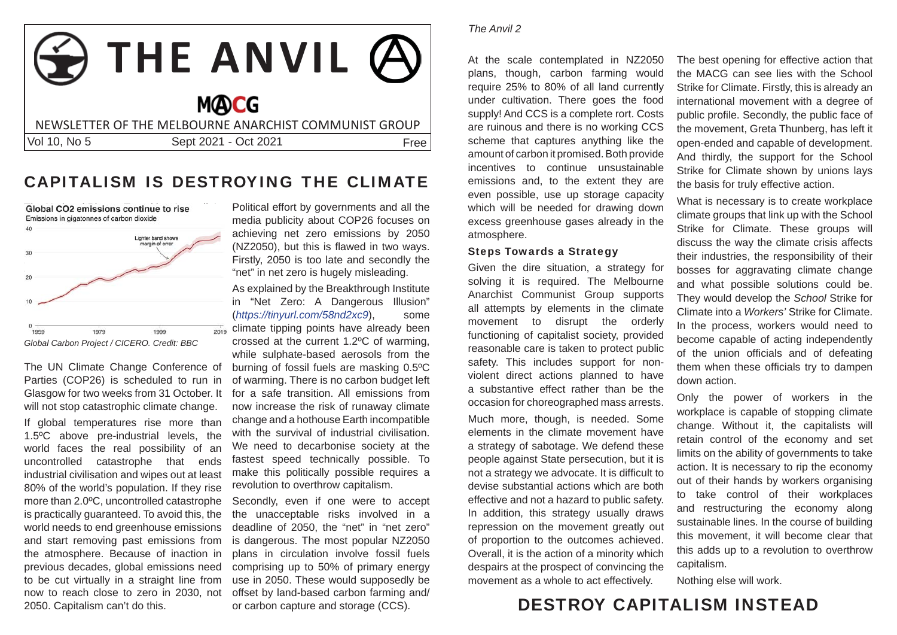# **THE ANVIL MOCG** NEWSLETTER OF THE MELBOURNE ANARCHIST COMMUNIST GROUPVol 10, No 5 Sept 2021 - Oct 2021 **Free**

### CAPITALISM IS DESTROYING THE CLIMATE



The UN Climate Change Conference of Parties (COP26) is scheduled to run in Glasgow for two weeks from 31 October. It will not stop catastrophic climate change. If global temperatures rise more than 1.5ºC above pre-industrial levels, the world faces the real possibility of an uncontrolled catastrophe that ends industrial civilisation and wipes out at least 80% of the world's population. If they rise more than 2.0ºC, uncontrolled catastrophe is practically guaranteed. To avoid this, the world needs to end greenhouse emissions and start removing past emissions from the atmosphere. Because of inaction in previous decades, global emissions need to be cut virtually in a straight line from now to reach close to zero in 2030, not 2050. Capitalism can't do this.

Political effort by governments and all the media publicity about COP26 focuses on achieving net zero emissions by 2050 (NZ2050), but this is flawed in two ways. Firstly, 2050 is too late and secondly the "net" in net zero is hugely misleading.

As explained by the Breakthrough Institute in "Net Zero: A Dangerous Illusion" (*https://tinyurl.com/58nd2xc9*), some climate tipping points have already been crossed at the current 1.2ºC of warming, while sulphate-based aerosols from the burning of fossil fuels are masking 0.5ºC of warming. There is no carbon budget left for a safe transition. All emissions from now increase the risk of runaway climate change and a hothouse Earth incompatible with the survival of industrial civilisation. We need to decarbonise society at the fastest speed technically possible. To make this politically possible requires a revolution to overthrow capitalism.

Secondly, even if one were to accept the unacceptable risks involved in a deadline of 2050, the "net" in "net zero" is dangerous. The most popular NZ2050 plans in circulation involve fossil fuels comprising up to 50% of primary energy use in 2050. These would supposedly be offset by land-based carbon farming and/ or carbon capture and storage (CCS).

#### *The Anvil 2*

At the scale contemplated in NZ2050 plans, though, carbon farming would require 25% to 80% of all land currently under cultivation. There goes the food supply! And CCS is a complete rort. Costs are ruinous and there is no working CCS scheme that captures anything like the amount of carbon it promised. Both provide incentives to continue unsustainable emissions and, to the extent they are even possible, use up storage capacity which will be needed for drawing down excess greenhouse gases already in the atmosphere.

#### Steps Towards a Strategy

Given the dire situation, a strategy for solving it is required. The Melbourne Anarchist Communist Group supports all attempts by elements in the climate movement to disrupt the orderly functioning of capitalist society, provided reasonable care is taken to protect public safety. This includes support for nonviolent direct actions planned to have a substantive effect rather than be the occasion for choreographed mass arrests.

Much more, though, is needed. Some elements in the climate movement have a strategy of sabotage. We defend these people against State persecution, but it is not a strategy we advocate. It is difficult to devise substantial actions which are both effective and not a hazard to public safety. In addition, this strategy usually draws repression on the movement greatly out of proportion to the outcomes achieved. Overall, it is the action of a minority which despairs at the prospect of convincing the movement as a whole to act effectively.

The best opening for effective action that the MACG can see lies with the School Strike for Climate. Firstly, this is already an international movement with a degree of public profile. Secondly, the public face of the movement, Greta Thunberg, has left it open-ended and capable of development. And thirdly, the support for the School Strike for Climate shown by unions lays the basis for truly effective action.

What is necessary is to create workplace climate groups that link up with the School Strike for Climate. These groups will discuss the way the climate crisis affects their industries, the responsibility of their bosses for aggravating climate change and what possible solutions could be. They would develop the *School* Strike for Climate into a *Workers'* Strike for Climate. In the process, workers would need to become capable of acting independently of the union officials and of defeating them when these officials try to dampen down action.

Only the power of workers in the workplace is capable of stopping climate change. Without it, the capitalists will retain control of the economy and set limits on the ability of governments to take action. It is necessary to rip the economy out of their hands by workers organising to take control of their workplaces and restructuring the economy along sustainable lines. In the course of building this movement, it will become clear that this adds up to a revolution to overthrow capitalism.

Nothing else will work.

## DESTROY CAPITALISM INSTEAD